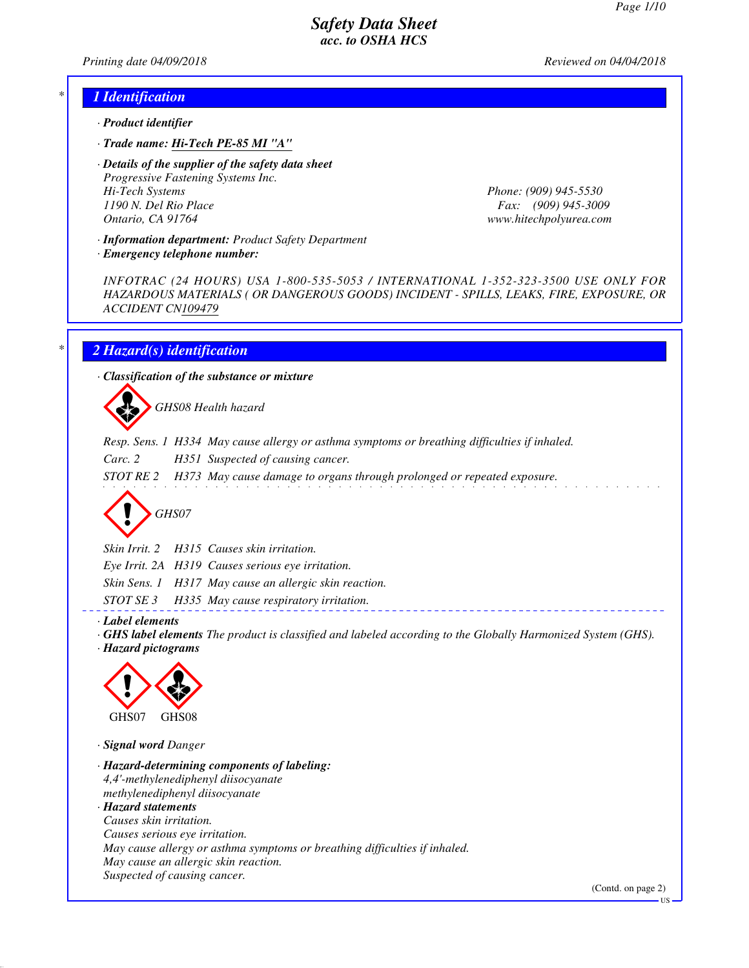*Printing date 04/09/2018 Reviewed on 04/04/2018*

### *\* 1 Identification*

- *· Product identifier*
- *· Trade name: Hi-Tech PE-85 MI "A"*

*· Details of the supplier of the safety data sheet Progressive Fastening Systems Inc. Hi-Tech Systems Phone: (909) 945-5530 1190 N. Del Rio Place Fax: (909) 945-3009 Ontario, CA 91764 www.hitechpolyurea.com*

*· Information department: Product Safety Department*

*· Emergency telephone number:*

*INFOTRAC (24 HOURS) USA 1-800-535-5053 / INTERNATIONAL 1-352-323-3500 USE ONLY FOR HAZARDOUS MATERIALS ( OR DANGEROUS GOODS) INCIDENT - SPILLS, LEAKS, FIRE, EXPOSURE, OR ACCIDENT CN109479*

## *\* 2 Hazard(s) identification*

*· Classification of the substance or mixture*

d~*GHS08 Health hazard*

- *Resp. Sens. 1 H334 May cause allergy or asthma symptoms or breathing difficulties if inhaled.*
- *Carc. 2 H351 Suspected of causing cancer.*
- *STOT RE 2 H373 May cause damage to organs through prolonged or repeated exposure.*

d~*GHS07*

*Skin Irrit. 2 H315 Causes skin irritation.*

*Eye Irrit. 2A H319 Causes serious eye irritation.*

- *Skin Sens. 1 H317 May cause an allergic skin reaction.*
- *STOT SE 3 H335 May cause respiratory irritation.*

*· Label elements*

*· GHS label elements The product is classified and labeled according to the Globally Harmonized System (GHS). · Hazard pictograms*



*· Signal word Danger*

*· Hazard-determining components of labeling: 4,4'-methylenediphenyl diisocyanate methylenediphenyl diisocyanate · Hazard statements Causes skin irritation. Causes serious eye irritation. May cause allergy or asthma symptoms or breathing difficulties if inhaled. May cause an allergic skin reaction. Suspected of causing cancer.*

(Contd. on page 2)

US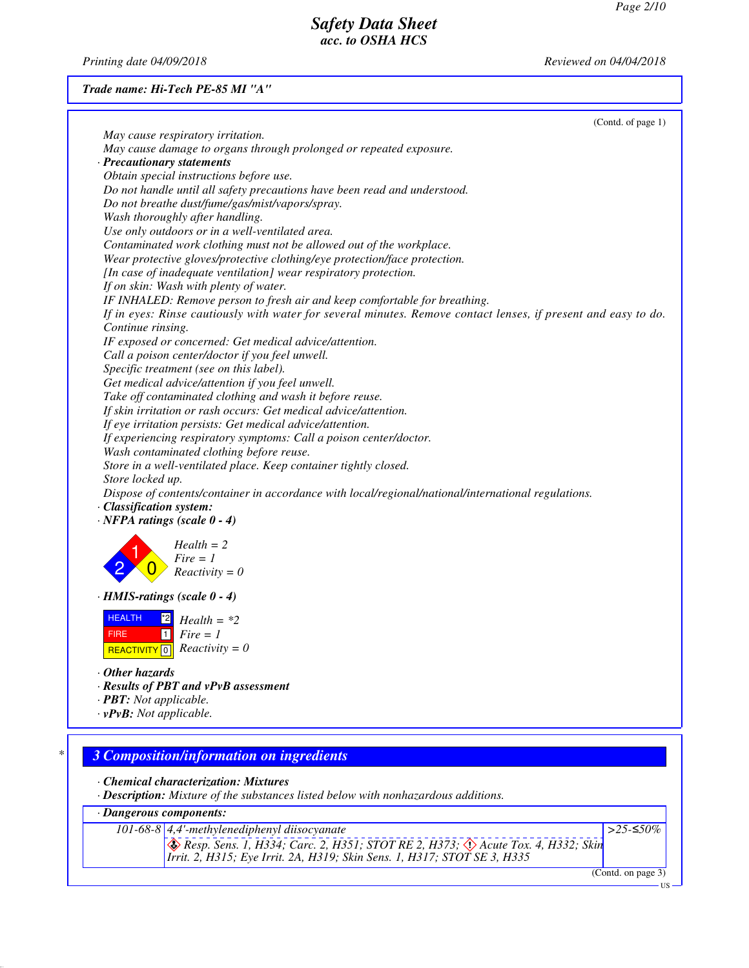*Printing date 04/09/2018 Reviewed on 04/04/2018*

### *Trade name: Hi-Tech PE-85 MI "A"*

| May cause respiratory irritation.<br>May cause damage to organs through prolonged or repeated exposure.<br>· Precautionary statements<br>Obtain special instructions before use.<br>Do not handle until all safety precautions have been read and understood.<br>Do not breathe dust/fume/gas/mist/vapors/spray.<br>Wash thoroughly after handling.<br>Use only outdoors or in a well-ventilated area.<br>Contaminated work clothing must not be allowed out of the workplace.<br>Wear protective gloves/protective clothing/eye protection/face protection.<br>[In case of inadequate ventilation] wear respiratory protection.<br>If on skin: Wash with plenty of water.<br>IF INHALED: Remove person to fresh air and keep comfortable for breathing.<br>If in eyes: Rinse cautiously with water for several minutes. Remove contact lenses, if present and easy to do. |
|----------------------------------------------------------------------------------------------------------------------------------------------------------------------------------------------------------------------------------------------------------------------------------------------------------------------------------------------------------------------------------------------------------------------------------------------------------------------------------------------------------------------------------------------------------------------------------------------------------------------------------------------------------------------------------------------------------------------------------------------------------------------------------------------------------------------------------------------------------------------------|
|                                                                                                                                                                                                                                                                                                                                                                                                                                                                                                                                                                                                                                                                                                                                                                                                                                                                            |
|                                                                                                                                                                                                                                                                                                                                                                                                                                                                                                                                                                                                                                                                                                                                                                                                                                                                            |
|                                                                                                                                                                                                                                                                                                                                                                                                                                                                                                                                                                                                                                                                                                                                                                                                                                                                            |
|                                                                                                                                                                                                                                                                                                                                                                                                                                                                                                                                                                                                                                                                                                                                                                                                                                                                            |
|                                                                                                                                                                                                                                                                                                                                                                                                                                                                                                                                                                                                                                                                                                                                                                                                                                                                            |
|                                                                                                                                                                                                                                                                                                                                                                                                                                                                                                                                                                                                                                                                                                                                                                                                                                                                            |
|                                                                                                                                                                                                                                                                                                                                                                                                                                                                                                                                                                                                                                                                                                                                                                                                                                                                            |
|                                                                                                                                                                                                                                                                                                                                                                                                                                                                                                                                                                                                                                                                                                                                                                                                                                                                            |
|                                                                                                                                                                                                                                                                                                                                                                                                                                                                                                                                                                                                                                                                                                                                                                                                                                                                            |
|                                                                                                                                                                                                                                                                                                                                                                                                                                                                                                                                                                                                                                                                                                                                                                                                                                                                            |
|                                                                                                                                                                                                                                                                                                                                                                                                                                                                                                                                                                                                                                                                                                                                                                                                                                                                            |
|                                                                                                                                                                                                                                                                                                                                                                                                                                                                                                                                                                                                                                                                                                                                                                                                                                                                            |
|                                                                                                                                                                                                                                                                                                                                                                                                                                                                                                                                                                                                                                                                                                                                                                                                                                                                            |
|                                                                                                                                                                                                                                                                                                                                                                                                                                                                                                                                                                                                                                                                                                                                                                                                                                                                            |
| Continue rinsing.                                                                                                                                                                                                                                                                                                                                                                                                                                                                                                                                                                                                                                                                                                                                                                                                                                                          |
| IF exposed or concerned: Get medical advice/attention.                                                                                                                                                                                                                                                                                                                                                                                                                                                                                                                                                                                                                                                                                                                                                                                                                     |
| Call a poison center/doctor if you feel unwell.                                                                                                                                                                                                                                                                                                                                                                                                                                                                                                                                                                                                                                                                                                                                                                                                                            |
| Specific treatment (see on this label).                                                                                                                                                                                                                                                                                                                                                                                                                                                                                                                                                                                                                                                                                                                                                                                                                                    |
| Get medical advice/attention if you feel unwell.                                                                                                                                                                                                                                                                                                                                                                                                                                                                                                                                                                                                                                                                                                                                                                                                                           |
| Take off contaminated clothing and wash it before reuse.                                                                                                                                                                                                                                                                                                                                                                                                                                                                                                                                                                                                                                                                                                                                                                                                                   |
| If skin irritation or rash occurs: Get medical advice/attention.                                                                                                                                                                                                                                                                                                                                                                                                                                                                                                                                                                                                                                                                                                                                                                                                           |
| If eye irritation persists: Get medical advice/attention.                                                                                                                                                                                                                                                                                                                                                                                                                                                                                                                                                                                                                                                                                                                                                                                                                  |
| If experiencing respiratory symptoms: Call a poison center/doctor.                                                                                                                                                                                                                                                                                                                                                                                                                                                                                                                                                                                                                                                                                                                                                                                                         |
| Wash contaminated clothing before reuse.                                                                                                                                                                                                                                                                                                                                                                                                                                                                                                                                                                                                                                                                                                                                                                                                                                   |
| Store in a well-ventilated place. Keep container tightly closed.                                                                                                                                                                                                                                                                                                                                                                                                                                                                                                                                                                                                                                                                                                                                                                                                           |
| Store locked up.                                                                                                                                                                                                                                                                                                                                                                                                                                                                                                                                                                                                                                                                                                                                                                                                                                                           |
| Dispose of contents/container in accordance with local/regional/national/international regulations.                                                                                                                                                                                                                                                                                                                                                                                                                                                                                                                                                                                                                                                                                                                                                                        |
| · Classification system:                                                                                                                                                                                                                                                                                                                                                                                                                                                                                                                                                                                                                                                                                                                                                                                                                                                   |
| $\cdot$ NFPA ratings (scale 0 - 4)                                                                                                                                                                                                                                                                                                                                                                                                                                                                                                                                                                                                                                                                                                                                                                                                                                         |
|                                                                                                                                                                                                                                                                                                                                                                                                                                                                                                                                                                                                                                                                                                                                                                                                                                                                            |
| $Health = 2$                                                                                                                                                                                                                                                                                                                                                                                                                                                                                                                                                                                                                                                                                                                                                                                                                                                               |
| $Fire = 1$                                                                                                                                                                                                                                                                                                                                                                                                                                                                                                                                                                                                                                                                                                                                                                                                                                                                 |
| $Reactivity = 0$                                                                                                                                                                                                                                                                                                                                                                                                                                                                                                                                                                                                                                                                                                                                                                                                                                                           |
| $\cdot$ HMIS-ratings (scale $0 - 4$ )                                                                                                                                                                                                                                                                                                                                                                                                                                                                                                                                                                                                                                                                                                                                                                                                                                      |
| <b>HEALTH</b>                                                                                                                                                                                                                                                                                                                                                                                                                                                                                                                                                                                                                                                                                                                                                                                                                                                              |
| 2 <br>$Health = *2$                                                                                                                                                                                                                                                                                                                                                                                                                                                                                                                                                                                                                                                                                                                                                                                                                                                        |
| $Fire = 1$<br>$\vert$ 1 $\vert$<br><b>FIRE</b>                                                                                                                                                                                                                                                                                                                                                                                                                                                                                                                                                                                                                                                                                                                                                                                                                             |
| REACTIVITY 0 $Reactivity = 0$                                                                                                                                                                                                                                                                                                                                                                                                                                                                                                                                                                                                                                                                                                                                                                                                                                              |
| ⋅ Other hazards                                                                                                                                                                                                                                                                                                                                                                                                                                                                                                                                                                                                                                                                                                                                                                                                                                                            |
| · Results of PBT and vPvB assessment                                                                                                                                                                                                                                                                                                                                                                                                                                                                                                                                                                                                                                                                                                                                                                                                                                       |
| · <b>PBT</b> : Not applicable.                                                                                                                                                                                                                                                                                                                                                                                                                                                                                                                                                                                                                                                                                                                                                                                                                                             |
| $\cdot$ vPvB: Not applicable.                                                                                                                                                                                                                                                                                                                                                                                                                                                                                                                                                                                                                                                                                                                                                                                                                                              |
|                                                                                                                                                                                                                                                                                                                                                                                                                                                                                                                                                                                                                                                                                                                                                                                                                                                                            |

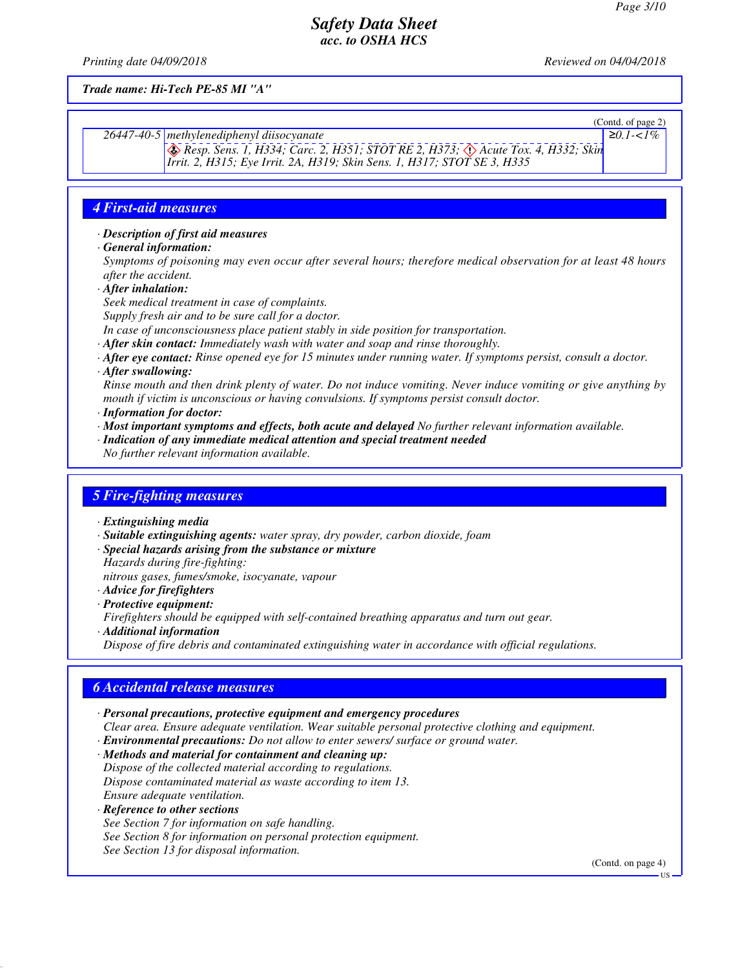*Printing date 04/09/2018 Reviewed on 04/04/2018*

*Trade name: Hi-Tech PE-85 MI "A"*

(Contd. of page 2) *26447-40-5 methylenediphenyl diisocyanate* d~ *Resp. Sens. 1, H334; Carc. 2, H351; STOT RE 2, H373;* d~ *Acute Tox. 4, H332; Skin Irrit. 2, H315; Eye Irrit. 2A, H319; Skin Sens. 1, H317; STOT SE 3, H335* ≥*0.1-<1%*

## *4 First-aid measures*

#### *· Description of first aid measures*

*· General information:*

*Symptoms of poisoning may even occur after several hours; therefore medical observation for at least 48 hours after the accident.*

- *· After inhalation:*
- *Seek medical treatment in case of complaints.*

*Supply fresh air and to be sure call for a doctor.*

*In case of unconsciousness place patient stably in side position for transportation.*

- *· After skin contact: Immediately wash with water and soap and rinse thoroughly.*
- *· After eye contact: Rinse opened eye for 15 minutes under running water. If symptoms persist, consult a doctor.*
- *· After swallowing:*

*Rinse mouth and then drink plenty of water. Do not induce vomiting. Never induce vomiting or give anything by mouth if victim is unconscious or having convulsions. If symptoms persist consult doctor.*

- *· Information for doctor:*
- *· Most important symptoms and effects, both acute and delayed No further relevant information available.*
- *· Indication of any immediate medical attention and special treatment needed*
- *No further relevant information available.*

### *5 Fire-fighting measures*

- *· Extinguishing media*
- *· Suitable extinguishing agents: water spray, dry powder, carbon dioxide, foam*
- *· Special hazards arising from the substance or mixture Hazards during fire-fighting:*

*nitrous gases, fumes/smoke, isocyanate, vapour*

- *· Advice for firefighters*
- *· Protective equipment:*

*Firefighters should be equipped with self-contained breathing apparatus and turn out gear.*

*· Additional information*

*Dispose of fire debris and contaminated extinguishing water in accordance with official regulations.*

# *6 Accidental release measures*

- *· Personal precautions, protective equipment and emergency procedures*
- *Clear area. Ensure adequate ventilation. Wear suitable personal protective clothing and equipment.*
- *· Environmental precautions: Do not allow to enter sewers/ surface or ground water.*
- *· Methods and material for containment and cleaning up: Dispose of the collected material according to regulations. Dispose contaminated material as waste according to item 13. Ensure adequate ventilation.*
- *· Reference to other sections*
- *See Section 7 for information on safe handling. See Section 8 for information on personal protection equipment.*
- *See Section 13 for disposal information.*

(Contd. on page 4)

US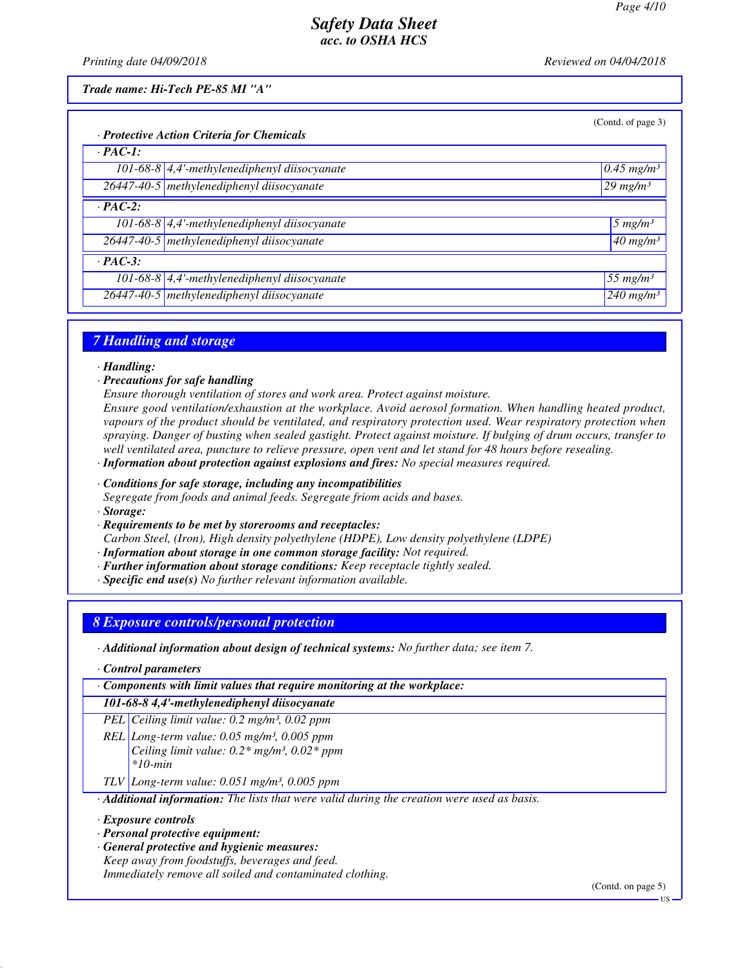*Printing date 04/09/2018 Reviewed on 04/04/2018*

*Trade name: Hi-Tech PE-85 MI "A"*

| $10.45$ mg/m <sup>3</sup> |
|---------------------------|
| $29$ mg/m <sup>3</sup>    |
|                           |
| $5 \ mg/m^3$              |
| $40$ mg/m <sup>3</sup>    |
|                           |
| $155$ mg/m <sup>3</sup>   |
| $240$ mg/m <sup>3</sup>   |
|                           |

### *7 Handling and storage*

*· Handling:*

- *· Precautions for safe handling*
- *Ensure thorough ventilation of stores and work area. Protect against moisture.*

*Ensure good ventilation/exhaustion at the workplace. Avoid aerosol formation. When handling heated product, vapours of the product should be ventilated, and respiratory protection used. Wear respiratory protection when spraying. Danger of busting when sealed gastight. Protect against moisture. If bulging of drum occurs, transfer to well ventilated area, puncture to relieve pressure, open vent and let stand for 48 hours before resealing.*

*· Information about protection against explosions and fires: No special measures required.*

*· Conditions for safe storage, including any incompatibilities*

*Segregate from foods and animal feeds. Segregate friom acids and bases.*

*· Storage:*

*· Requirements to be met by storerooms and receptacles:*

*Carbon Steel, (Iron), High density polyethylene (HDPE), Low density polyethylene (LDPE)*

- *· Information about storage in one common storage facility: Not required.*
- *· Further information about storage conditions: Keep receptacle tightly sealed.*
- *· Specific end use(s) No further relevant information available.*

## *8 Exposure controls/personal protection*

*· Additional information about design of technical systems: No further data; see item 7.*

*· Control parameters*

*· Components with limit values that require monitoring at the workplace:*

### *101-68-8 4,4'-methylenediphenyl diisocyanate*

*PEL Ceiling limit value: 0.2 mg/m³, 0.02 ppm*

*REL Long-term value: 0.05 mg/m³, 0.005 ppm Ceiling limit value: 0.2\* mg/m³, 0.02\* ppm \*10-min*

*TLV Long-term value: 0.051 mg/m³, 0.005 ppm*

*· Additional information: The lists that were valid during the creation were used as basis.*

#### *· Exposure controls*

*· Personal protective equipment:*

*· General protective and hygienic measures: Keep away from foodstuffs, beverages and feed.*

*Immediately remove all soiled and contaminated clothing.*

(Contd. on page 5)

US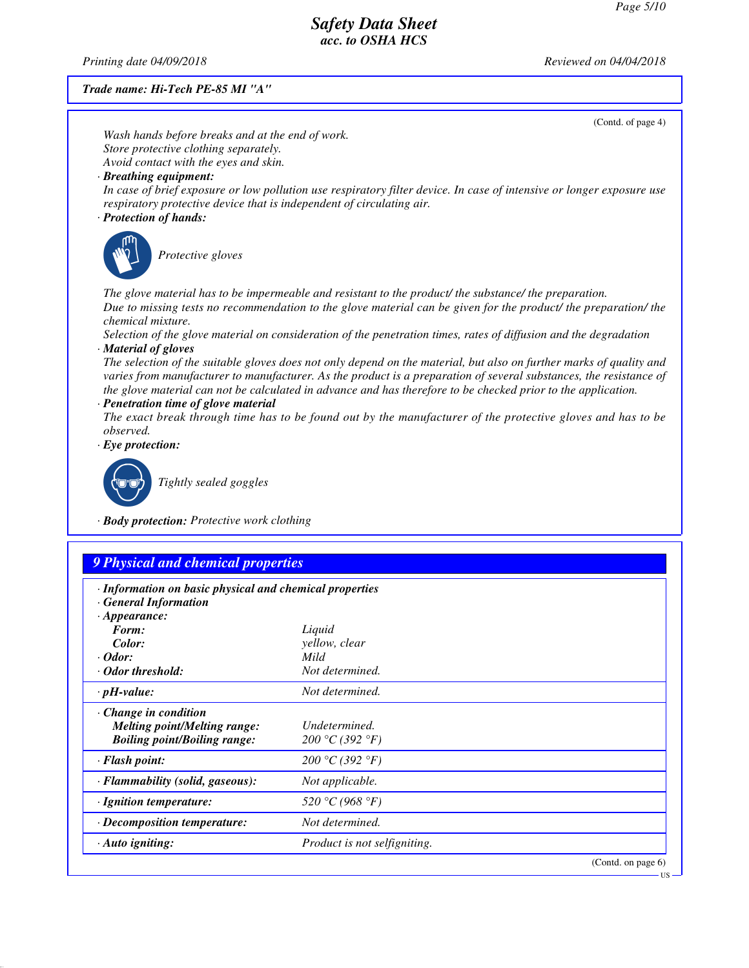*Printing date 04/09/2018 Reviewed on 04/04/2018*

*Trade name: Hi-Tech PE-85 MI "A"*

|                                                                                                   | (Contd. of page 4)                                                                                                                                                                                                                                                                                                                                         |
|---------------------------------------------------------------------------------------------------|------------------------------------------------------------------------------------------------------------------------------------------------------------------------------------------------------------------------------------------------------------------------------------------------------------------------------------------------------------|
| Wash hands before breaks and at the end of work.                                                  |                                                                                                                                                                                                                                                                                                                                                            |
| Store protective clothing separately.                                                             |                                                                                                                                                                                                                                                                                                                                                            |
| Avoid contact with the eyes and skin.<br>· Breathing equipment:                                   |                                                                                                                                                                                                                                                                                                                                                            |
| respiratory protective device that is independent of circulating air.<br>· Protection of hands:   | In case of brief exposure or low pollution use respiratory filter device. In case of intensive or longer exposure use                                                                                                                                                                                                                                      |
| Protective gloves                                                                                 |                                                                                                                                                                                                                                                                                                                                                            |
| chemical mixture.                                                                                 | The glove material has to be impermeable and resistant to the product/ the substance/ the preparation.<br>Due to missing tests no recommendation to the glove material can be given for the product/ the preparation/ the                                                                                                                                  |
|                                                                                                   | Selection of the glove material on consideration of the penetration times, rates of diffusion and the degradation                                                                                                                                                                                                                                          |
| · Material of gloves<br>· Penetration time of glove material                                      | The selection of the suitable gloves does not only depend on the material, but also on further marks of quality and<br>varies from manufacturer to manufacturer. As the product is a preparation of several substances, the resistance of<br>the glove material can not be calculated in advance and has therefore to be checked prior to the application. |
|                                                                                                   | The exact break through time has to be found out by the manufacturer of the protective gloves and has to be                                                                                                                                                                                                                                                |
| observed.                                                                                         |                                                                                                                                                                                                                                                                                                                                                            |
| $\cdot$ Eye protection:                                                                           |                                                                                                                                                                                                                                                                                                                                                            |
| Tightly sealed goggles                                                                            |                                                                                                                                                                                                                                                                                                                                                            |
| · Body protection: Protective work clothing                                                       |                                                                                                                                                                                                                                                                                                                                                            |
|                                                                                                   |                                                                                                                                                                                                                                                                                                                                                            |
| 9 Physical and chemical properties                                                                |                                                                                                                                                                                                                                                                                                                                                            |
| · Information on basic physical and chemical properties<br><b>General Information</b>             |                                                                                                                                                                                                                                                                                                                                                            |
| $\cdot$ Appearance:                                                                               |                                                                                                                                                                                                                                                                                                                                                            |
| Form:                                                                                             | Liquid                                                                                                                                                                                                                                                                                                                                                     |
| Color:                                                                                            | yellow, clear                                                                                                                                                                                                                                                                                                                                              |
| $\cdot$ Odor:<br>Odor threshold:                                                                  | Mild<br>Not determined.                                                                                                                                                                                                                                                                                                                                    |
| $\cdot$ pH-value:                                                                                 | Not determined.                                                                                                                                                                                                                                                                                                                                            |
|                                                                                                   |                                                                                                                                                                                                                                                                                                                                                            |
| Change in condition<br><b>Melting point/Melting range:</b><br><b>Boiling point/Boiling range:</b> | Undetermined.<br>200 °C (392 °F)                                                                                                                                                                                                                                                                                                                           |
| · Flash point:                                                                                    | 200 °C (392 °F)                                                                                                                                                                                                                                                                                                                                            |
| · Flammability (solid, gaseous):                                                                  | Not applicable.                                                                                                                                                                                                                                                                                                                                            |
| · Ignition temperature:                                                                           | 520 °C (968 °F)                                                                                                                                                                                                                                                                                                                                            |
| · Decomposition temperature:                                                                      | Not determined.                                                                                                                                                                                                                                                                                                                                            |
| · Auto igniting:                                                                                  | Product is not selfigniting.                                                                                                                                                                                                                                                                                                                               |
|                                                                                                   | (Contd. on page 6)                                                                                                                                                                                                                                                                                                                                         |
|                                                                                                   |                                                                                                                                                                                                                                                                                                                                                            |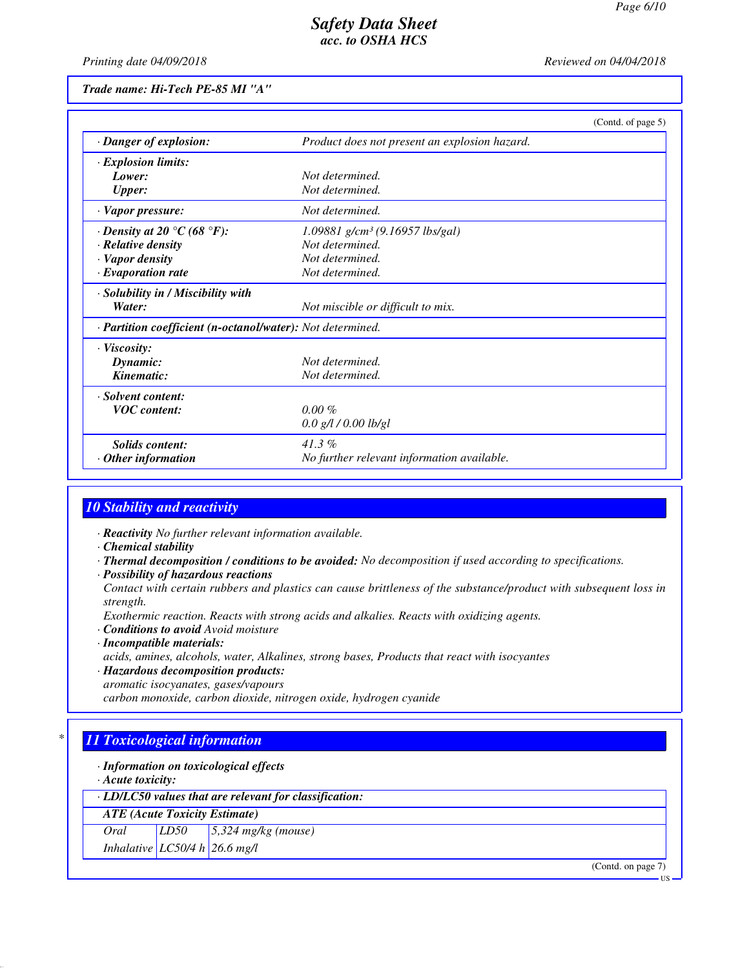*Printing date 04/09/2018 Reviewed on 04/04/2018*

*Trade name: Hi-Tech PE-85 MI "A"*

|                                                            |                                               | (Contd. of page 5) |
|------------------------------------------------------------|-----------------------------------------------|--------------------|
| · Danger of explosion:                                     | Product does not present an explosion hazard. |                    |
| · Explosion limits:                                        |                                               |                    |
| Lower:                                                     | Not determined.                               |                    |
| <b>Upper:</b>                                              | Not determined.                               |                    |
| · Vapor pressure:                                          | Not determined.                               |                    |
| $\cdot$ Density at 20 °C (68 °F):                          | $1.09881$ g/cm <sup>3</sup> (9.16957 lbs/gal) |                    |
| · Relative density                                         | Not determined.                               |                    |
| · Vapor density                                            | Not determined.                               |                    |
| $\cdot$ Evaporation rate                                   | Not determined.                               |                    |
| · Solubility in / Miscibility with                         |                                               |                    |
| Water:                                                     | Not miscible or difficult to mix.             |                    |
| · Partition coefficient (n-octanol/water): Not determined. |                                               |                    |
| $\cdot$ Viscosity:                                         |                                               |                    |
| Dynamic:                                                   | Not determined.                               |                    |
| Kinematic:                                                 | Not determined.                               |                    |
| · Solvent content:                                         |                                               |                    |
| <b>VOC</b> content:                                        | $0.00 \%$                                     |                    |
|                                                            | $0.0$ g/l / 0.00 lb/gl                        |                    |
| <b>Solids</b> content:                                     | $41.3\%$                                      |                    |
| $\cdot$ Other information                                  | No further relevant information available.    |                    |

## *10 Stability and reactivity*

*· Reactivity No further relevant information available.*

- *· Chemical stability*
- *· Thermal decomposition / conditions to be avoided: No decomposition if used according to specifications.*
- *· Possibility of hazardous reactions*

*Contact with certain rubbers and plastics can cause brittleness of the substance/product with subsequent loss in strength.*

*Exothermic reaction. Reacts with strong acids and alkalies. Reacts with oxidizing agents.*

- *· Conditions to avoid Avoid moisture*
- *· Incompatible materials: acids, amines, alcohols, water, Alkalines, strong bases, Products that react with isocyantes*
- *· Hazardous decomposition products: aromatic isocyanates, gases/vapours*

*carbon monoxide, carbon dioxide, nitrogen oxide, hydrogen cyanide*

# *\* 11 Toxicological information*

### *· Information on toxicological effects*

*· Acute toxicity:*

*· LD/LC50 values that are relevant for classification:*

*ATE (Acute Toxicity Estimate)*

*Oral LD50 5,324 mg/kg (mouse)*

*Inhalative LC50/4 h 26.6 mg/l*

(Contd. on page 7)

US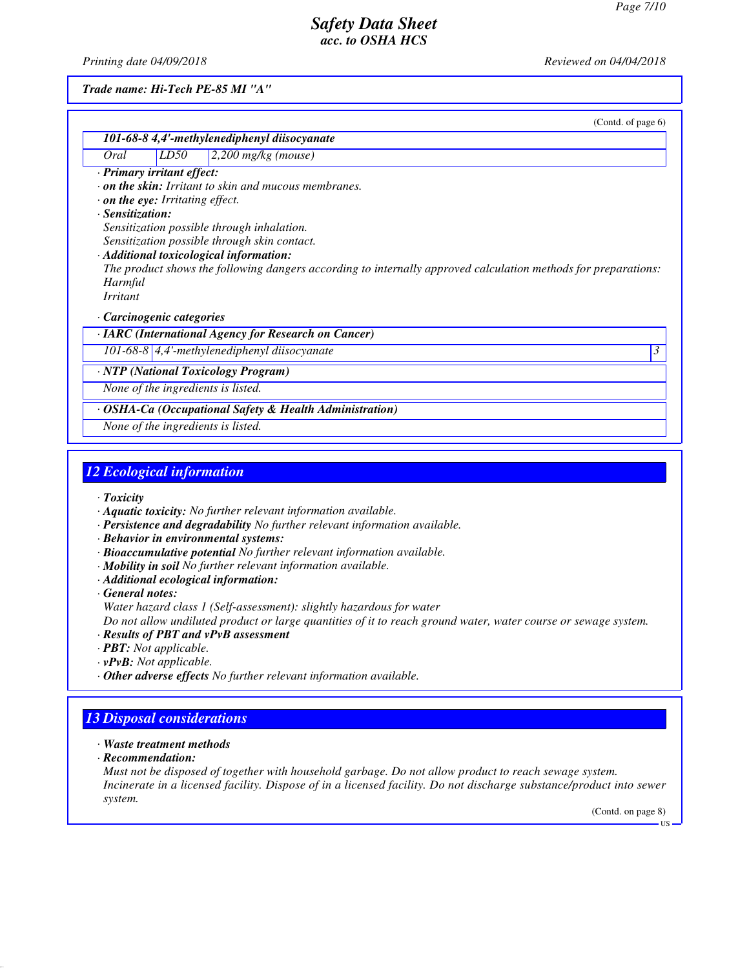*Printing date 04/09/2018 Reviewed on 04/04/2018*

*Trade name: Hi-Tech PE-85 MI "A"*

|                                |      | (Contd. of page 6)                                                                                             |   |
|--------------------------------|------|----------------------------------------------------------------------------------------------------------------|---|
|                                |      | 101-68-8 4,4'-methylenediphenyl diisocyanate                                                                   |   |
| Oral                           | LD50 | $2,200$ mg/kg (mouse)                                                                                          |   |
| Primary irritant effect:       |      |                                                                                                                |   |
|                                |      | $\cdot$ on the skin: Irritant to skin and mucous membranes.                                                    |   |
| on the eye: Irritating effect. |      |                                                                                                                |   |
| · Sensitization:               |      |                                                                                                                |   |
|                                |      | Sensitization possible through inhalation.                                                                     |   |
|                                |      | Sensitization possible through skin contact.                                                                   |   |
|                                |      | Additional toxicological information:                                                                          |   |
|                                |      | The product shows the following dangers according to internally approved calculation methods for preparations: |   |
| Harmful<br><i>Irritant</i>     |      |                                                                                                                |   |
|                                |      |                                                                                                                |   |
| Carcinogenic categories        |      |                                                                                                                |   |
|                                |      | <b>IARC</b> (International Agency for Research on Cancer)                                                      |   |
|                                |      | 101-68-8 $\vert$ 4,4'-methylenediphenyl diisocyanate                                                           | 3 |
|                                |      | <b>NTP</b> (National Toxicology Program)                                                                       |   |
|                                |      | None of the ingredients is listed.                                                                             |   |
|                                |      | <b>OSHA-Ca (Occupational Safety &amp; Health Administration)</b>                                               |   |
|                                |      | None of the ingredients is listed.                                                                             |   |
|                                |      |                                                                                                                |   |

## *12 Ecological information*

*· Toxicity*

- *· Aquatic toxicity: No further relevant information available.*
- *· Persistence and degradability No further relevant information available.*
- *· Behavior in environmental systems:*
- *· Bioaccumulative potential No further relevant information available.*
- *· Mobility in soil No further relevant information available.*
- *· Additional ecological information:*

*· General notes:*

*Water hazard class 1 (Self-assessment): slightly hazardous for water*

*Do not allow undiluted product or large quantities of it to reach ground water, water course or sewage system.*

- *· Results of PBT and vPvB assessment*
- *· PBT: Not applicable.*
- *· vPvB: Not applicable.*
- *· Other adverse effects No further relevant information available.*

# *13 Disposal considerations*

- *· Waste treatment methods*
- *· Recommendation:*

*Must not be disposed of together with household garbage. Do not allow product to reach sewage system. Incinerate in a licensed facility. Dispose of in a licensed facility. Do not discharge substance/product into sewer system.*

(Contd. on page 8)

US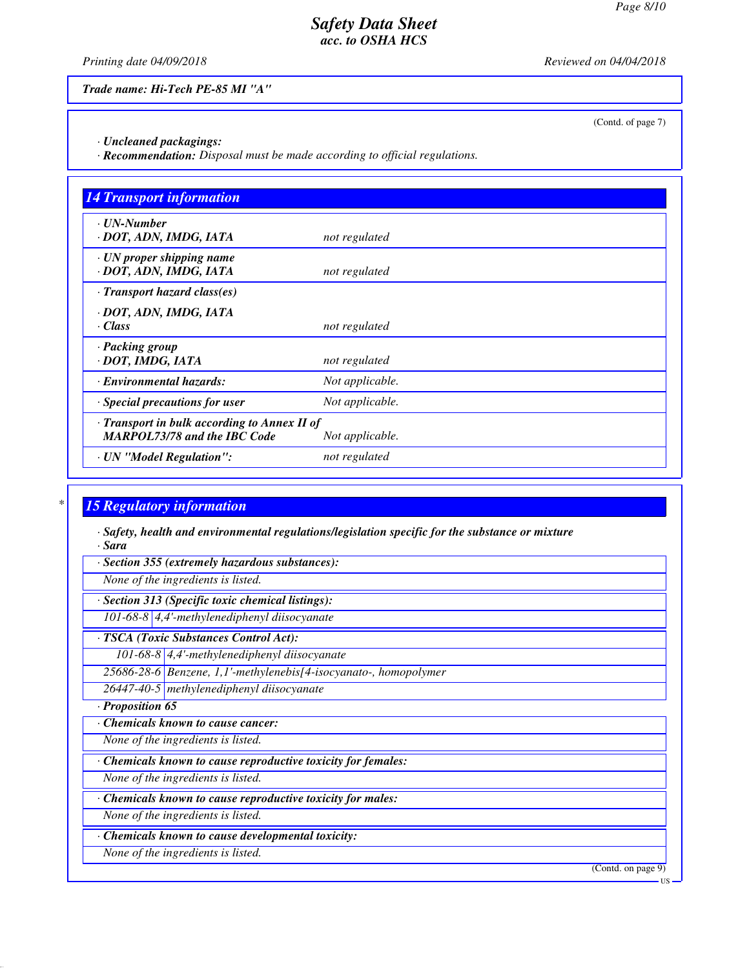(Contd. of page 7)

# *Safety Data Sheet acc. to OSHA HCS*

*Printing date 04/09/2018 Reviewed on 04/04/2018*

*Trade name: Hi-Tech PE-85 MI "A"*

*· Uncleaned packagings:*

*· Recommendation: Disposal must be made according to official regulations.*

| <b>14 Transport information</b>                                                     |                 |
|-------------------------------------------------------------------------------------|-----------------|
| ⋅ UN-Number<br>· DOT, ADN, IMDG, IATA                                               | not regulated   |
| · UN proper shipping name<br>· DOT, ADN, IMDG, IATA                                 | not regulated   |
| $\cdot$ Transport hazard class(es)                                                  |                 |
| · DOT, ADN, IMDG, IATA<br>· Class                                                   | not regulated   |
| · Packing group<br>· DOT, IMDG, IATA                                                | not regulated   |
| · Environmental hazards:                                                            | Not applicable. |
| Special precautions for user                                                        | Not applicable. |
| · Transport in bulk according to Annex II of<br><b>MARPOL73/78 and the IBC Code</b> | Not applicable. |
| · UN "Model Regulation":                                                            | not regulated   |

# *\* 15 Regulatory information*

*· Safety, health and environmental regulations/legislation specific for the substance or mixture · Sara*

*· Section 355 (extremely hazardous substances):*

*None of the ingredients is listed.*

*· Section 313 (Specific toxic chemical listings): 101-68-8 4,4'-methylenediphenyl diisocyanate*

*· TSCA (Toxic Substances Control Act):*

*101-68-8 4,4'-methylenediphenyl diisocyanate*

*25686-28-6 Benzene, 1,1'-methylenebis[4-isocyanato-, homopolymer*

*26447-40-5 methylenediphenyl diisocyanate*

*· Proposition 65*

*· Chemicals known to cause cancer:*

*None of the ingredients is listed.*

*· Chemicals known to cause reproductive toxicity for females:*

*None of the ingredients is listed.*

*· Chemicals known to cause reproductive toxicity for males:*

*None of the ingredients is listed.*

*· Chemicals known to cause developmental toxicity:*

*None of the ingredients is listed.*

(Contd. on page 9)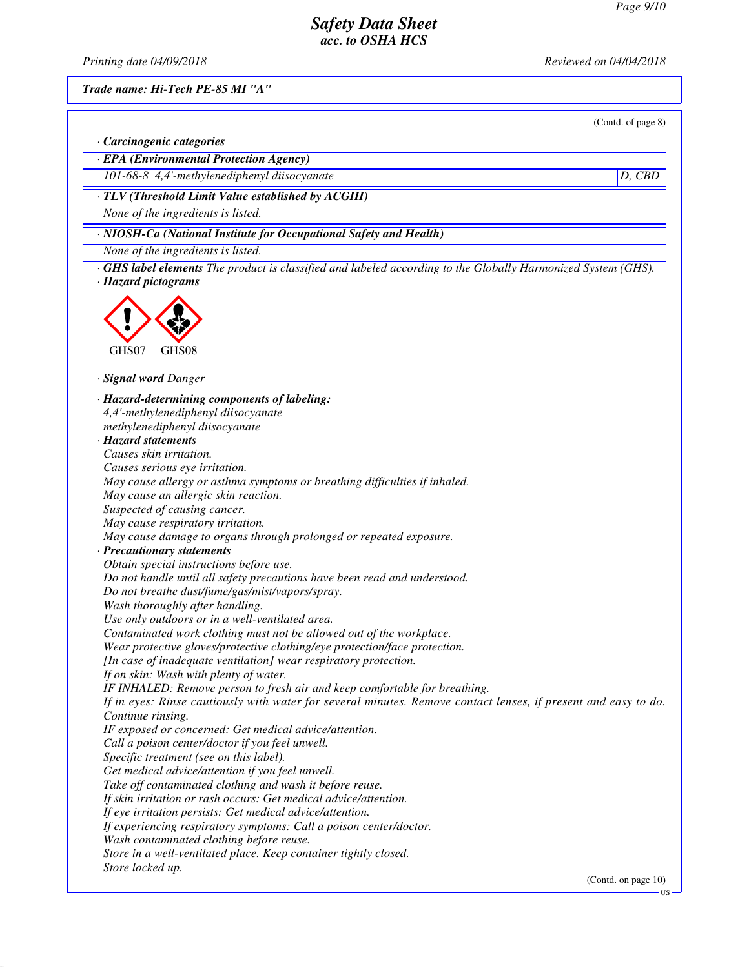*Printing date 04/09/2018 Reviewed on 04/04/2018*

*Trade name: Hi-Tech PE-85 MI "A"*

(Contd. of page 8)

*· Carcinogenic categories*

*· EPA (Environmental Protection Agency)*

*101-68-8 4,4'-methylenediphenyl diisocyanate D, CBD*

*· TLV (Threshold Limit Value established by ACGIH)*

*None of the ingredients is listed.*

*· NIOSH-Ca (National Institute for Occupational Safety and Health)*

*None of the ingredients is listed.*

*· GHS label elements The product is classified and labeled according to the Globally Harmonized System (GHS). · Hazard pictograms*



*· Signal word Danger*

*· Hazard-determining components of labeling: 4,4'-methylenediphenyl diisocyanate methylenediphenyl diisocyanate · Hazard statements Causes skin irritation. Causes serious eye irritation. May cause allergy or asthma symptoms or breathing difficulties if inhaled. May cause an allergic skin reaction. Suspected of causing cancer. May cause respiratory irritation. May cause damage to organs through prolonged or repeated exposure. · Precautionary statements Obtain special instructions before use. Do not handle until all safety precautions have been read and understood. Do not breathe dust/fume/gas/mist/vapors/spray. Wash thoroughly after handling. Use only outdoors or in a well-ventilated area. Contaminated work clothing must not be allowed out of the workplace. Wear protective gloves/protective clothing/eye protection/face protection. [In case of inadequate ventilation] wear respiratory protection. If on skin: Wash with plenty of water. IF INHALED: Remove person to fresh air and keep comfortable for breathing. If in eyes: Rinse cautiously with water for several minutes. Remove contact lenses, if present and easy to do. Continue rinsing. IF exposed or concerned: Get medical advice/attention. Call a poison center/doctor if you feel unwell. Specific treatment (see on this label). Get medical advice/attention if you feel unwell. Take off contaminated clothing and wash it before reuse. If skin irritation or rash occurs: Get medical advice/attention. If eye irritation persists: Get medical advice/attention. If experiencing respiratory symptoms: Call a poison center/doctor. Wash contaminated clothing before reuse. Store in a well-ventilated place. Keep container tightly closed. Store locked up.* (Contd. on page 10)

**HS**